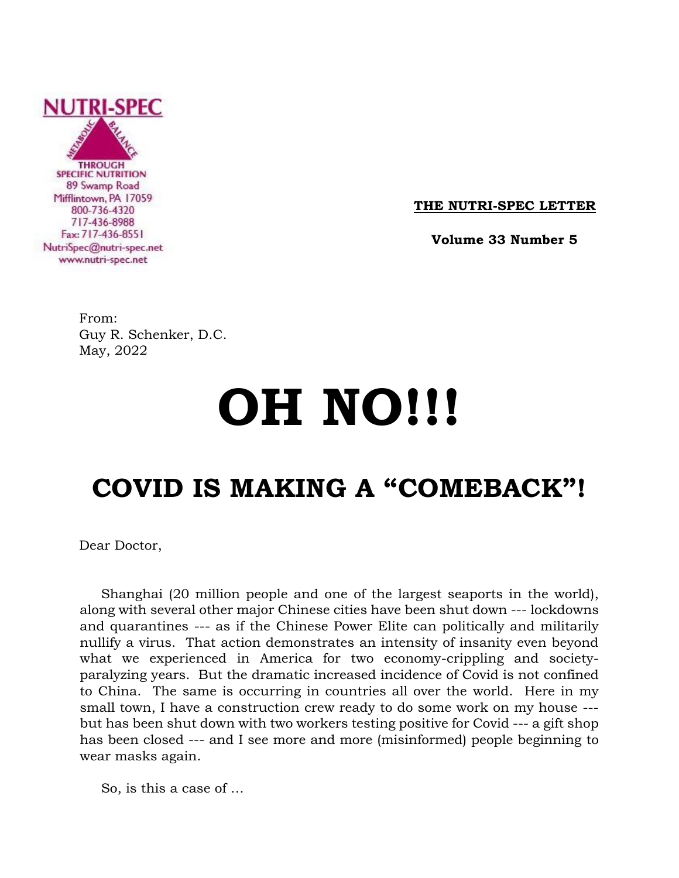

**THE NUTRI-SPEC LETTER**

 **Volume 33 Number 5**

From: Guy R. Schenker, D.C. May, 2022

# **OH NO!!!**

# **COVID IS MAKING A "COMEBACK"!**

Dear Doctor,

 Shanghai (20 million people and one of the largest seaports in the world), along with several other major Chinese cities have been shut down --- lockdowns and quarantines --- as if the Chinese Power Elite can politically and militarily nullify a virus. That action demonstrates an intensity of insanity even beyond what we experienced in America for two economy-crippling and societyparalyzing years. But the dramatic increased incidence of Covid is not confined to China. The same is occurring in countries all over the world. Here in my small town, I have a construction crew ready to do some work on my house -- but has been shut down with two workers testing positive for Covid --- a gift shop has been closed --- and I see more and more (misinformed) people beginning to wear masks again.

So, is this a case of …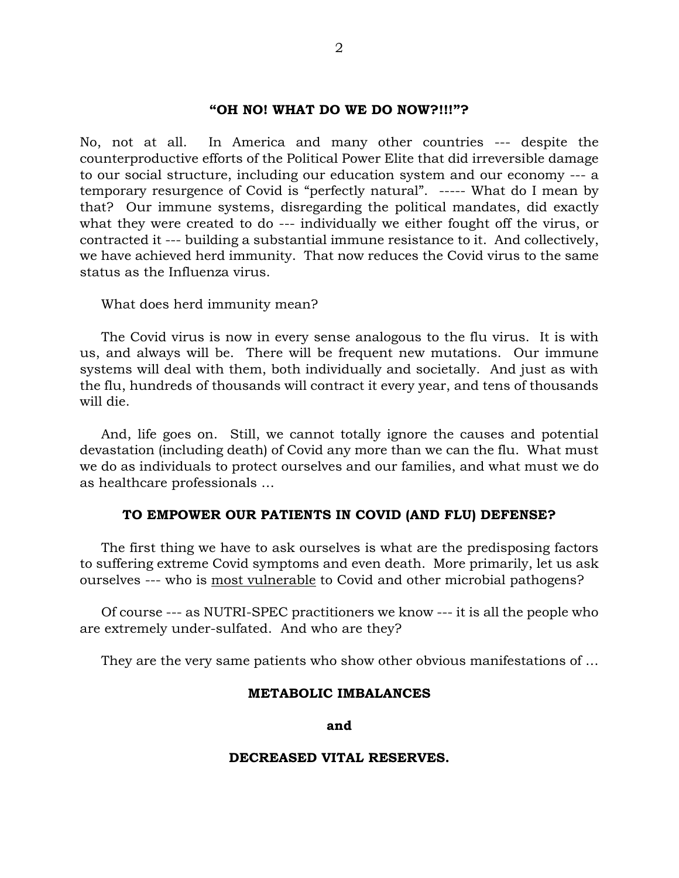## **"OH NO! WHAT DO WE DO NOW?!!!"?**

No, not at all. In America and many other countries --- despite the counterproductive efforts of the Political Power Elite that did irreversible damage to our social structure, including our education system and our economy --- a temporary resurgence of Covid is "perfectly natural". ----- What do I mean by that? Our immune systems, disregarding the political mandates, did exactly what they were created to do --- individually we either fought off the virus, or contracted it --- building a substantial immune resistance to it. And collectively, we have achieved herd immunity. That now reduces the Covid virus to the same status as the Influenza virus.

What does herd immunity mean?

 The Covid virus is now in every sense analogous to the flu virus. It is with us, and always will be. There will be frequent new mutations. Our immune systems will deal with them, both individually and societally. And just as with the flu, hundreds of thousands will contract it every year, and tens of thousands will die.

 And, life goes on. Still, we cannot totally ignore the causes and potential devastation (including death) of Covid any more than we can the flu. What must we do as individuals to protect ourselves and our families, and what must we do as healthcare professionals …

#### **TO EMPOWER OUR PATIENTS IN COVID (AND FLU) DEFENSE?**

 The first thing we have to ask ourselves is what are the predisposing factors to suffering extreme Covid symptoms and even death. More primarily, let us ask ourselves --- who is most vulnerable to Covid and other microbial pathogens?

 Of course --- as NUTRI-SPEC practitioners we know --- it is all the people who are extremely under-sulfated. And who are they?

They are the very same patients who show other obvious manifestations of …

#### **METABOLIC IMBALANCES**

**and**

#### **DECREASED VITAL RESERVES.**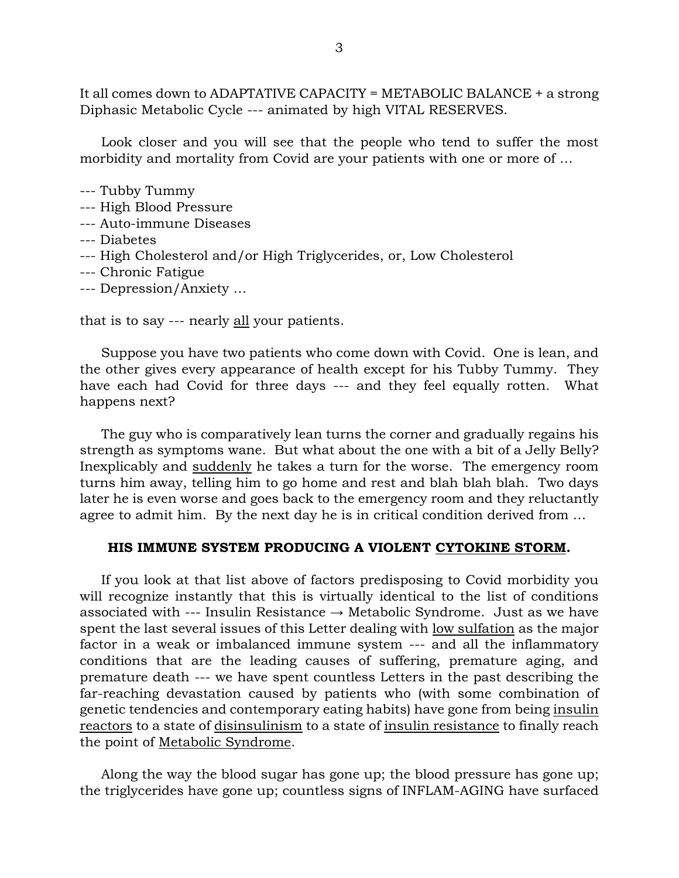It all comes down to ADAPTATIVE CAPACITY = METABOLIC BALANCE + a strong Diphasic Metabolic Cycle --- animated by high VITAL RESERVES.

 Look closer and you will see that the people who tend to suffer the most morbidity and mortality from Covid are your patients with one or more of …

- --- Tubby Tummy
- --- High Blood Pressure
- --- Auto-immune Diseases
- --- Diabetes
- --- High Cholesterol and/or High Triglycerides, or, Low Cholesterol
- --- Chronic Fatigue
- --- Depression/Anxiety …

that is to say --- nearly all your patients.

 Suppose you have two patients who come down with Covid. One is lean, and the other gives every appearance of health except for his Tubby Tummy. They have each had Covid for three days --- and they feel equally rotten. What happens next?

 The guy who is comparatively lean turns the corner and gradually regains his strength as symptoms wane. But what about the one with a bit of a Jelly Belly? Inexplicably and suddenly he takes a turn for the worse. The emergency room turns him away, telling him to go home and rest and blah blah blah. Two days later he is even worse and goes back to the emergency room and they reluctantly agree to admit him. By the next day he is in critical condition derived from …

#### **HIS IMMUNE SYSTEM PRODUCING A VIOLENT CYTOKINE STORM.**

 If you look at that list above of factors predisposing to Covid morbidity you will recognize instantly that this is virtually identical to the list of conditions associated with --- Insulin Resistance  $\rightarrow$  Metabolic Syndrome. Just as we have spent the last several issues of this Letter dealing with low sulfation as the major factor in a weak or imbalanced immune system --- and all the inflammatory conditions that are the leading causes of suffering, premature aging, and premature death --- we have spent countless Letters in the past describing the far-reaching devastation caused by patients who (with some combination of genetic tendencies and contemporary eating habits) have gone from being insulin reactors to a state of disinsulinism to a state of insulin resistance to finally reach the point of Metabolic Syndrome.

 Along the way the blood sugar has gone up; the blood pressure has gone up; the triglycerides have gone up; countless signs of INFLAM-AGING have surfaced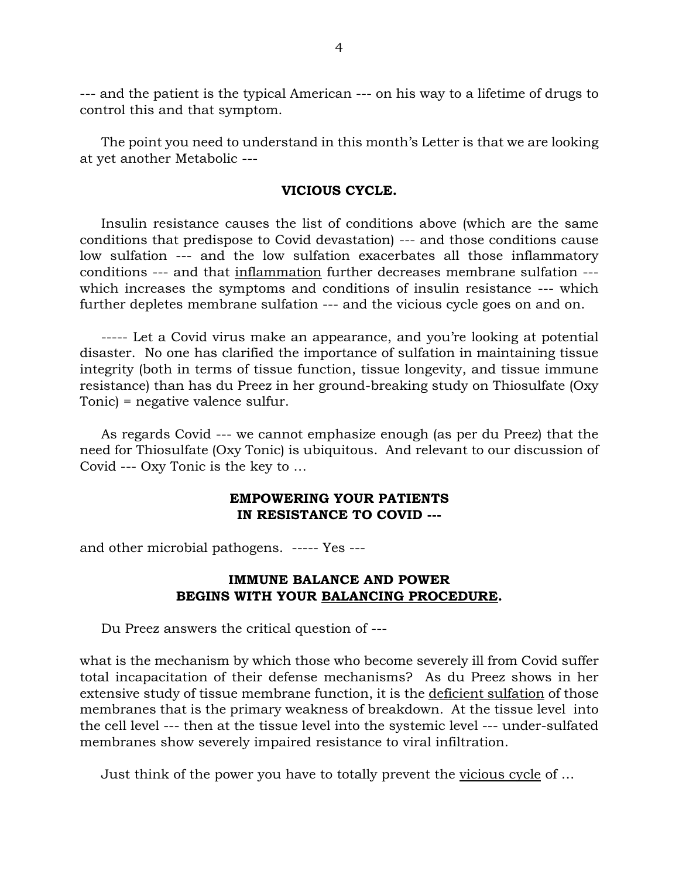--- and the patient is the typical American --- on his way to a lifetime of drugs to control this and that symptom.

 The point you need to understand in this month's Letter is that we are looking at yet another Metabolic ---

### **VICIOUS CYCLE.**

 Insulin resistance causes the list of conditions above (which are the same conditions that predispose to Covid devastation) --- and those conditions cause low sulfation --- and the low sulfation exacerbates all those inflammatory conditions --- and that inflammation further decreases membrane sulfation -- which increases the symptoms and conditions of insulin resistance --- which further depletes membrane sulfation --- and the vicious cycle goes on and on.

 ----- Let a Covid virus make an appearance, and you're looking at potential disaster. No one has clarified the importance of sulfation in maintaining tissue integrity (both in terms of tissue function, tissue longevity, and tissue immune resistance) than has du Preez in her ground-breaking study on Thiosulfate (Oxy Tonic) = negative valence sulfur.

 As regards Covid --- we cannot emphasize enough (as per du Preez) that the need for Thiosulfate (Oxy Tonic) is ubiquitous. And relevant to our discussion of Covid --- Oxy Tonic is the key to …

# **EMPOWERING YOUR PATIENTS IN RESISTANCE TO COVID ---**

and other microbial pathogens. ----- Yes ---

# **IMMUNE BALANCE AND POWER BEGINS WITH YOUR BALANCING PROCEDURE.**

Du Preez answers the critical question of ---

what is the mechanism by which those who become severely ill from Covid suffer total incapacitation of their defense mechanisms? As du Preez shows in her extensive study of tissue membrane function, it is the deficient sulfation of those membranes that is the primary weakness of breakdown. At the tissue level into the cell level --- then at the tissue level into the systemic level --- under-sulfated membranes show severely impaired resistance to viral infiltration.

Just think of the power you have to totally prevent the vicious cycle of …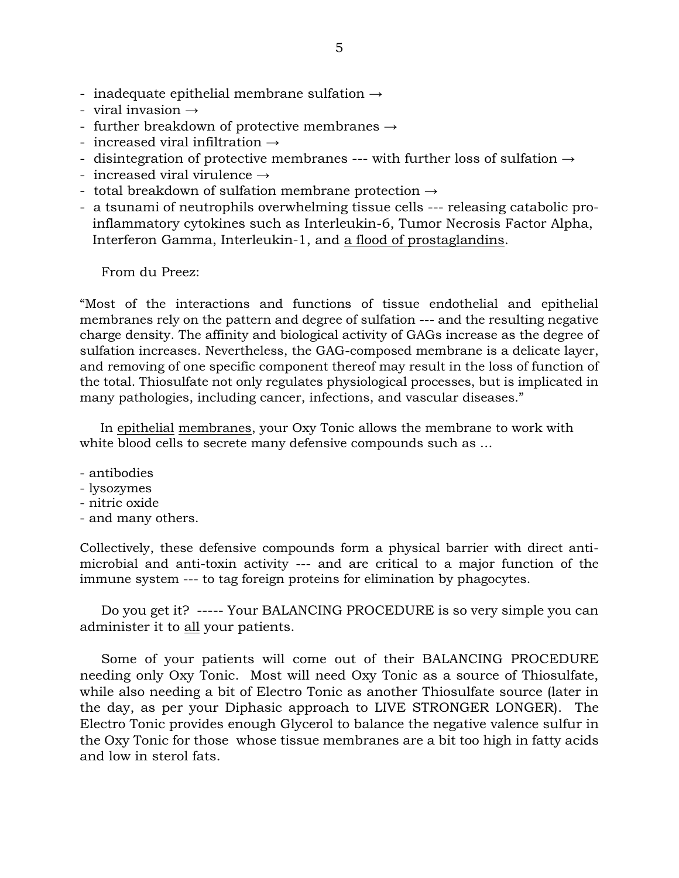- inadequate epithelial membrane sulfation  $\rightarrow$
- viral invasion  $\rightarrow$
- further breakdown of protective membranes  $\rightarrow$
- increased viral infiltration  $\rightarrow$
- disintegration of protective membranes --- with further loss of sulfation  $\rightarrow$
- increased viral virulence  $\rightarrow$
- total breakdown of sulfation membrane protection  $\rightarrow$
- a tsunami of neutrophils overwhelming tissue cells --- releasing catabolic pro inflammatory cytokines such as Interleukin-6, Tumor Necrosis Factor Alpha, Interferon Gamma, Interleukin-1, and a flood of prostaglandins.

From du Preez:

"Most of the interactions and functions of tissue endothelial and epithelial membranes rely on the pattern and degree of sulfation --- and the resulting negative charge density. The affinity and biological activity of GAGs increase as the degree of sulfation increases. Nevertheless, the GAG-composed membrane is a delicate layer, and removing of one specific component thereof may result in the loss of function of the total. Thiosulfate not only regulates physiological processes, but is implicated in many pathologies, including cancer, infections, and vascular diseases."

 In epithelial membranes, your Oxy Tonic allows the membrane to work with white blood cells to secrete many defensive compounds such as …

- antibodies
- lysozymes
- nitric oxide
- and many others.

Collectively, these defensive compounds form a physical barrier with direct antimicrobial and anti-toxin activity --- and are critical to a major function of the immune system --- to tag foreign proteins for elimination by phagocytes.

 Do you get it? ----- Your BALANCING PROCEDURE is so very simple you can administer it to all your patients.

 Some of your patients will come out of their BALANCING PROCEDURE needing only Oxy Tonic. Most will need Oxy Tonic as a source of Thiosulfate, while also needing a bit of Electro Tonic as another Thiosulfate source (later in the day, as per your Diphasic approach to LIVE STRONGER LONGER). The Electro Tonic provides enough Glycerol to balance the negative valence sulfur in the Oxy Tonic for those whose tissue membranes are a bit too high in fatty acids and low in sterol fats.